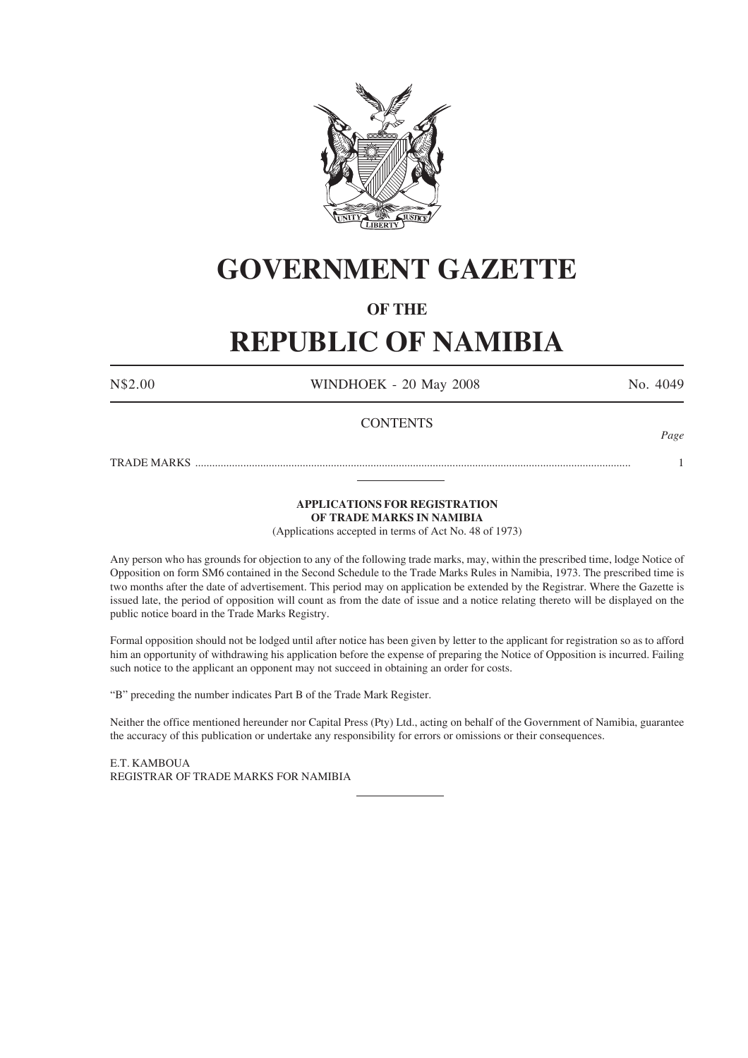

# **GOVERNMENT GAZETTE**

# **OF THE**

# **REPUBLIC OF NAMIBIA**

N\$2.00 WINDHOEK - 20 May 2008 No. 4049

# **CONTENTS**

*Page*

TRADE MARKS .......................................................................................................................................................... 1

# **APPLICATIONS FOR REGISTRATION OF TRADE MARKS IN NAMIBIA**

(Applications accepted in terms of Act No. 48 of 1973)

Any person who has grounds for objection to any of the following trade marks, may, within the prescribed time, lodge Notice of Opposition on form SM6 contained in the Second Schedule to the Trade Marks Rules in Namibia, 1973. The prescribed time is two months after the date of advertisement. This period may on application be extended by the Registrar. Where the Gazette is issued late, the period of opposition will count as from the date of issue and a notice relating thereto will be displayed on the public notice board in the Trade Marks Registry.

Formal opposition should not be lodged until after notice has been given by letter to the applicant for registration so as to afford him an opportunity of withdrawing his application before the expense of preparing the Notice of Opposition is incurred. Failing such notice to the applicant an opponent may not succeed in obtaining an order for costs.

"B" preceding the number indicates Part B of the Trade Mark Register.

Neither the office mentioned hereunder nor Capital Press (Pty) Ltd., acting on behalf of the Government of Namibia, guarantee the accuracy of this publication or undertake any responsibility for errors or omissions or their consequences.

E.T. KAMBOUA REGISTRAR OF TRADE MARKS FOR NAMIBIA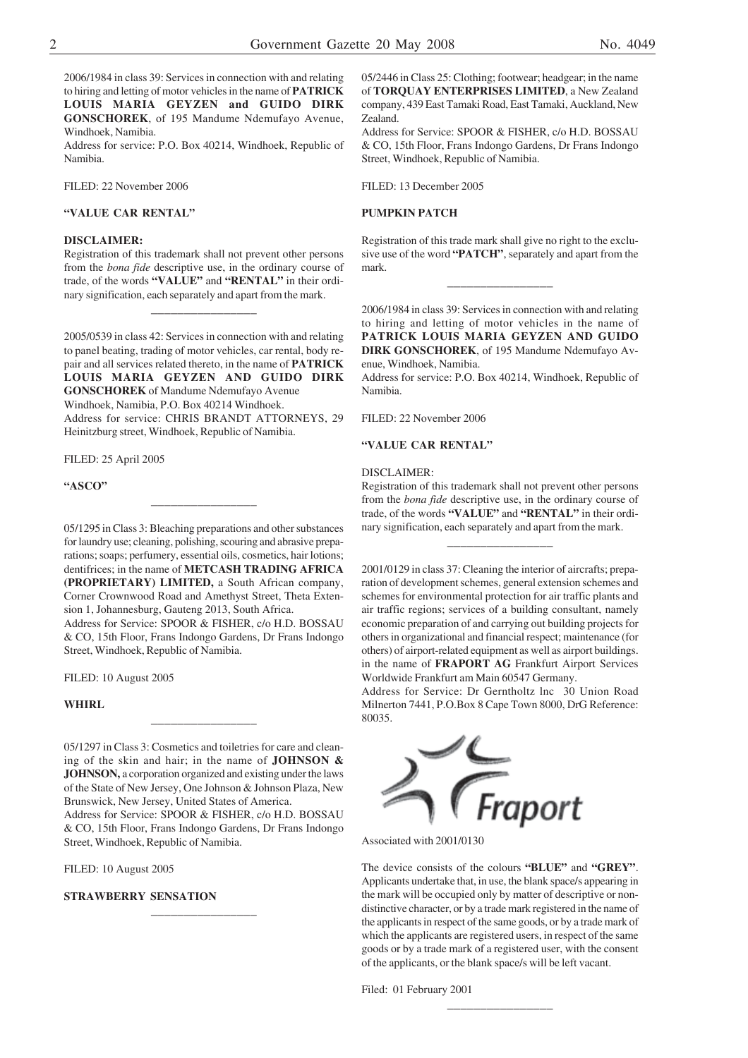2006/1984 in class 39: Services in connection with and relating to hiring and letting of motor vehicles in the name of **PATRICK LOUIS MARIA GEYZEN and GUIDO DIRK GONSCHOREK**, of 195 Mandume Ndemufayo Avenue, Windhoek, Namibia.

Address for service: P.O. Box 40214, Windhoek, Republic of Namibia.

FILED: 22 November 2006

# **"VALUE CAR RENTAL"**

#### **DISCLAIMER:**

Registration of this trademark shall not prevent other persons from the *bona fide* descriptive use, in the ordinary course of trade, of the words **"VALUE"** and **"RENTAL"** in their ordinary signification, each separately and apart from the mark.

\_\_\_\_\_\_\_\_\_\_\_\_\_\_\_\_

2005/0539 in class 42: Services in connection with and relating to panel beating, trading of motor vehicles, car rental, body repair and all services related thereto, in the name of **PATRICK LOUIS MARIA GEYZEN AND GUIDO DIRK GONSCHOREK** of Mandume Ndemufayo Avenue Windhoek, Namibia, P.O. Box 40214 Windhoek. Address for service: CHRIS BRANDT ATTORNEYS, 29 Heinitzburg street, Windhoek, Republic of Namibia.

FILED: 25 April 2005

**"ASCO"**

05/1295 in Class 3: Bleaching preparations and other substances for laundry use; cleaning, polishing, scouring and abrasive preparations; soaps; perfumery, essential oils, cosmetics, hair lotions; dentifrices; in the name of **METCASH TRADING AFRICA (PROPRIETARY) LIMITED,** a South African company, Corner Crownwood Road and Amethyst Street, Theta Extension 1, Johannesburg, Gauteng 2013, South Africa.

\_\_\_\_\_\_\_\_\_\_\_\_\_\_\_\_

Address for Service: SPOOR & FISHER, c/o H.D. BOSSAU & CO, 15th Floor, Frans Indongo Gardens, Dr Frans Indongo Street, Windhoek, Republic of Namibia.

FILED: 10 August 2005

#### **WHIRL**

05/1297 in Class 3: Cosmetics and toiletries for care and cleaning of the skin and hair; in the name of **JOHNSON & JOHNSON,** a corporation organized and existing under the laws of the State of New Jersey, One Johnson & Johnson Plaza, New Brunswick, New Jersey, United States of America.

\_\_\_\_\_\_\_\_\_\_\_\_\_\_\_\_

Address for Service: SPOOR & FISHER, c/o H.D. BOSSAU & CO, 15th Floor, Frans Indongo Gardens, Dr Frans Indongo Street, Windhoek, Republic of Namibia.

\_\_\_\_\_\_\_\_\_\_\_\_\_\_\_\_

FILED: 10 August 2005

#### **STRAWBERRY SENSATION**

05/2446 in Class 25: Clothing; footwear; headgear; in the name of **TORQUAY ENTERPRISES LIMITED**, a New Zealand company, 439 East Tamaki Road, East Tamaki, Auckland, New Zealand.

Address for Service: SPOOR & FISHER, c/o H.D. BOSSAU & CO, 15th Floor, Frans Indongo Gardens, Dr Frans Indongo Street, Windhoek, Republic of Namibia.

FILED: 13 December 2005

# **PUMPKIN PATCH**

Registration of this trade mark shall give no right to the exclusive use of the word **"PATCH"**, separately and apart from the mark.

\_\_\_\_\_\_\_\_\_\_\_\_\_\_\_\_

2006/1984 in class 39: Services in connection with and relating to hiring and letting of motor vehicles in the name of **PATRICK LOUIS MARIA GEYZEN AND GUIDO DIRK GONSCHOREK**, of 195 Mandume Ndemufayo Avenue, Windhoek, Namibia.

Address for service: P.O. Box 40214, Windhoek, Republic of Namibia.

FILED: 22 November 2006

# **"VALUE CAR RENTAL"**

#### DISCLAIMER:

Registration of this trademark shall not prevent other persons from the *bona fide* descriptive use, in the ordinary course of trade, of the words **"VALUE"** and **"RENTAL"** in their ordinary signification, each separately and apart from the mark.

\_\_\_\_\_\_\_\_\_\_\_\_\_\_\_\_

2001/0129 in class 37: Cleaning the interior of aircrafts; preparation of development schemes, general extension schemes and schemes for environmental protection for air traffic plants and air traffic regions; services of a building consultant, namely economic preparation of and carrying out building projects for others in organizational and financial respect; maintenance (for others) of airport-related equipment as well as airport buildings. in the name of **FRAPORT AG** Frankfurt Airport Services Worldwide Frankfurt am Main 60547 Germany.

Address for Service: Dr Gerntholtz lnc 30 Union Road Milnerton 7441, P.O.Box 8 Cape Town 8000, DrG Reference: 80035.



The device consists of the colours **"BLUE"** and **"GREY"**. Applicants undertake that, in use, the blank space/s appearing in the mark will be occupied only by matter of descriptive or nondistinctive character, or by a trade mark registered in the name of the applicants in respect of the same goods, or by a trade mark of which the applicants are registered users, in respect of the same goods or by a trade mark of a registered user, with the consent of the applicants, or the blank space/s will be left vacant.

\_\_\_\_\_\_\_\_\_\_\_\_\_\_\_\_

Filed: 01 February 2001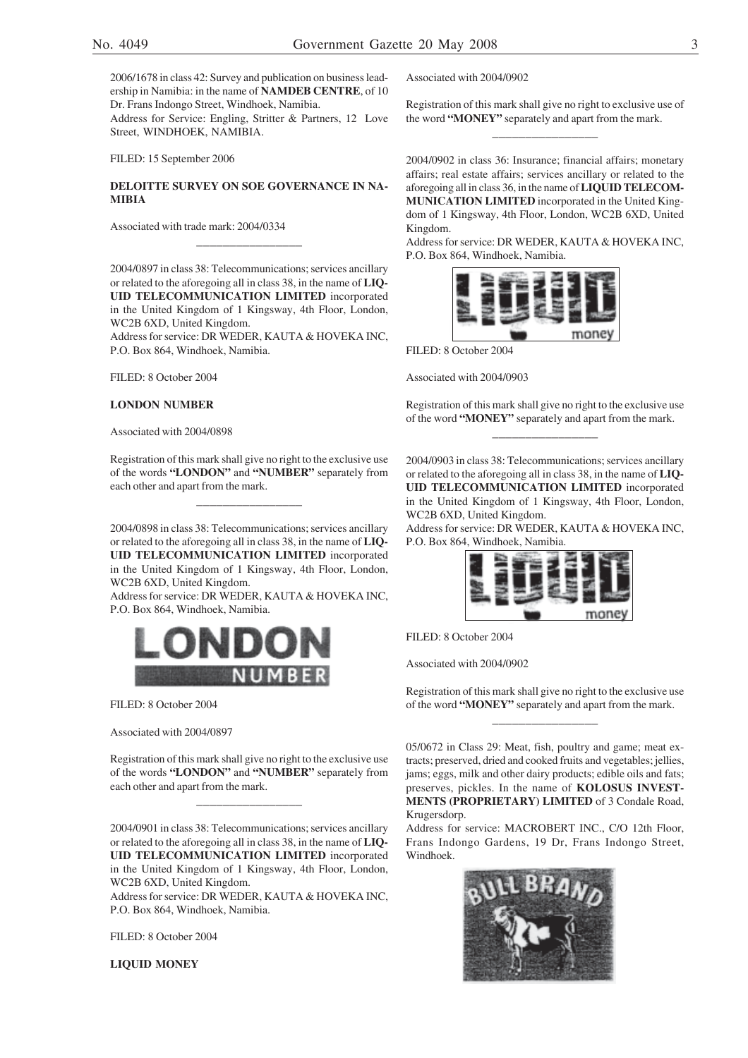2006/1678 in class 42: Survey and publication on business leadership in Namibia: in the name of **NAMDEB CENTRE**, of 10 Dr. Frans Indongo Street, Windhoek, Namibia.

Address for Service: Engling, Stritter & Partners, 12 Love Street, WINDHOEK, NAMIBIA.

FILED: 15 September 2006

## **DELOITTE SURVEY ON SOE GOVERNANCE IN NA-MIBIA**

\_\_\_\_\_\_\_\_\_\_\_\_\_\_\_\_

Associated with trade mark: 2004/0334

2004/0897 in class 38: Telecommunications; services ancillary or related to the aforegoing all in class 38, in the name of **LIQ-UID TELECOMMUNICATION LIMITED** incorporated in the United Kingdom of 1 Kingsway, 4th Floor, London, WC2B 6XD, United Kingdom.

Address for service: DR WEDER, KAUTA & HOVEKA INC, P.O. Box 864, Windhoek, Namibia.

FILED: 8 October 2004

#### **LONDON NUMBER**

Associated with 2004/0898

Registration of this mark shall give no right to the exclusive use of the words **"LONDON"** and **"NUMBER"** separately from each other and apart from the mark.

\_\_\_\_\_\_\_\_\_\_\_\_\_\_\_\_

2004/0898 in class 38: Telecommunications; services ancillary or related to the aforegoing all in class 38, in the name of **LIQ-UID TELECOMMUNICATION LIMITED** incorporated in the United Kingdom of 1 Kingsway, 4th Floor, London, WC2B 6XD, United Kingdom.

Address for service: DR WEDER, KAUTA & HOVEKA INC, P.O. Box 864, Windhoek, Namibia.



FILED: 8 October 2004

Associated with 2004/0897

Registration of this mark shall give no right to the exclusive use of the words **"LONDON"** and **"NUMBER"** separately from each other and apart from the mark.

\_\_\_\_\_\_\_\_\_\_\_\_\_\_\_\_

2004/0901 in class 38: Telecommunications; services ancillary or related to the aforegoing all in class 38, in the name of **LIQ-UID TELECOMMUNICATION LIMITED** incorporated in the United Kingdom of 1 Kingsway, 4th Floor, London, WC2B 6XD, United Kingdom.

Address for service: DR WEDER, KAUTA & HOVEKA INC, P.O. Box 864, Windhoek, Namibia.

FILED: 8 October 2004

**LIQUID MONEY**

Associated with 2004/0902

Registration of this mark shall give no right to exclusive use of the word **"MONEY"** separately and apart from the mark. \_\_\_\_\_\_\_\_\_\_\_\_\_\_\_\_

2004/0902 in class 36: Insurance; financial affairs; monetary affairs; real estate affairs; services ancillary or related to the aforegoing all in class 36, in the name of **LIQUID TELECOM-MUNICATION LIMITED** incorporated in the United Kingdom of 1 Kingsway, 4th Floor, London, WC2B 6XD, United Kingdom.

Address for service: DR WEDER, KAUTA & HOVEKA INC, P.O. Box 864, Windhoek, Namibia.



FILED: 8 October 2004

Associated with 2004/0903

Registration of this mark shall give no right to the exclusive use of the word **"MONEY"** separately and apart from the mark. \_\_\_\_\_\_\_\_\_\_\_\_\_\_\_\_

2004/0903 in class 38: Telecommunications; services ancillary or related to the aforegoing all in class 38, in the name of **LIQ-UID TELECOMMUNICATION LIMITED** incorporated in the United Kingdom of 1 Kingsway, 4th Floor, London, WC2B 6XD, United Kingdom.

Address for service: DR WEDER, KAUTA & HOVEKA INC, P.O. Box 864, Windhoek, Namibia.



FILED: 8 October 2004

Associated with 2004/0902

Registration of this mark shall give no right to the exclusive use of the word **"MONEY"** separately and apart from the mark. \_\_\_\_\_\_\_\_\_\_\_\_\_\_\_\_

05/0672 in Class 29: Meat, fish, poultry and game; meat extracts; preserved, dried and cooked fruits and vegetables; jellies, jams; eggs, milk and other dairy products; edible oils and fats; preserves, pickles. In the name of **KOLOSUS INVEST-MENTS (PROPRIETARY) LIMITED** of 3 Condale Road, Krugersdorp.

Address for service: MACROBERT INC., C/O 12th Floor, Frans Indongo Gardens, 19 Dr, Frans Indongo Street, Windhoek.

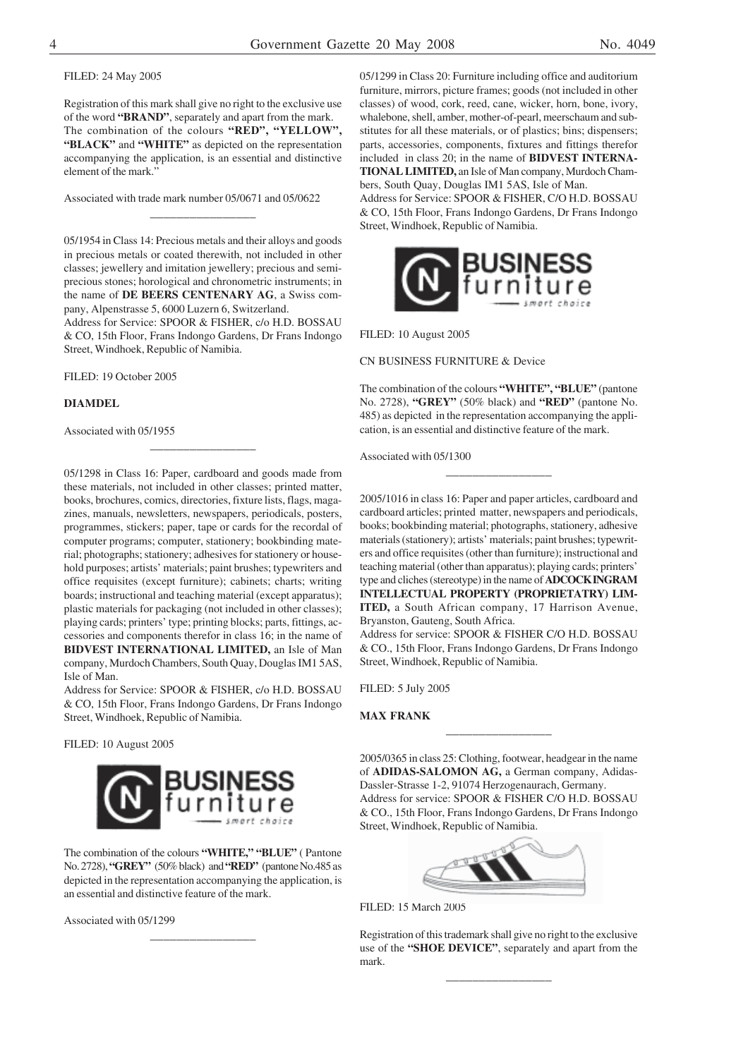## FILED: 24 May 2005

Registration of this mark shall give no right to the exclusive use of the word **"BRAND"**, separately and apart from the mark. The combination of the colours **"RED", "YELLOW", "BLACK"** and **"WHITE"** as depicted on the representation accompanying the application, is an essential and distinctive element of the mark."

Associated with trade mark number 05/0671 and 05/0622

\_\_\_\_\_\_\_\_\_\_\_\_\_\_\_\_

05/1954 in Class 14: Precious metals and their alloys and goods in precious metals or coated therewith, not included in other classes; jewellery and imitation jewellery; precious and semiprecious stones; horological and chronometric instruments; in the name of **DE BEERS CENTENARY AG**, a Swiss company, Alpenstrasse 5, 6000 Luzern 6, Switzerland. Address for Service: SPOOR & FISHER, c/o H.D. BOSSAU

& CO, 15th Floor, Frans Indongo Gardens, Dr Frans Indongo Street, Windhoek, Republic of Namibia.

\_\_\_\_\_\_\_\_\_\_\_\_\_\_\_\_

FILED: 19 October 2005

### **DIAMDEL**

Associated with 05/1955

05/1298 in Class 16: Paper, cardboard and goods made from these materials, not included in other classes; printed matter, books, brochures, comics, directories, fixture lists, flags, magazines, manuals, newsletters, newspapers, periodicals, posters, programmes, stickers; paper, tape or cards for the recordal of computer programs; computer, stationery; bookbinding material; photographs; stationery; adhesives for stationery or household purposes; artists' materials; paint brushes; typewriters and office requisites (except furniture); cabinets; charts; writing boards; instructional and teaching material (except apparatus); plastic materials for packaging (not included in other classes); playing cards; printers' type; printing blocks; parts, fittings, accessories and components therefor in class 16; in the name of **BIDVEST INTERNATIONAL LIMITED,** an Isle of Man company, Murdoch Chambers, South Quay, Douglas IM1 5AS, Isle of Man.

Address for Service: SPOOR & FISHER, c/o H.D. BOSSAU & CO, 15th Floor, Frans Indongo Gardens, Dr Frans Indongo Street, Windhoek, Republic of Namibia.

FILED: 10 August 2005



The combination of the colours **"WHITE," "BLUE"** ( Pantone No. 2728), **"GREY"** (50% black) and **"RED"** (pantone No.485 as depicted in the representation accompanying the application, is an essential and distinctive feature of the mark.

\_\_\_\_\_\_\_\_\_\_\_\_\_\_\_\_

Associated with 05/1299

05/1299 in Class 20: Furniture including office and auditorium furniture, mirrors, picture frames; goods (not included in other classes) of wood, cork, reed, cane, wicker, horn, bone, ivory, whalebone, shell, amber, mother-of-pearl, meerschaum and substitutes for all these materials, or of plastics; bins; dispensers; parts, accessories, components, fixtures and fittings therefor included in class 20; in the name of **BIDVEST INTERNA-TIONAL LIMITED,** an Isle of Man company, Murdoch Chambers, South Quay, Douglas IM1 5AS, Isle of Man. Address for Service: SPOOR & FISHER, C/O H.D. BOSSAU & CO, 15th Floor, Frans Indongo Gardens, Dr Frans Indongo Street, Windhoek, Republic of Namibia.



FILED: 10 August 2005

CN BUSINESS FURNITURE & Device

The combination of the colours **"WHITE", "BLUE"** (pantone No. 2728), **"GREY"** (50% black) and **"RED"** (pantone No. 485) as depicted in the representation accompanying the application, is an essential and distinctive feature of the mark.

\_\_\_\_\_\_\_\_\_\_\_\_\_\_\_\_

Associated with 05/1300

2005/1016 in class 16: Paper and paper articles, cardboard and cardboard articles; printed matter, newspapers and periodicals, books; bookbinding material; photographs, stationery, adhesive materials (stationery); artists' materials; paint brushes; typewriters and office requisites (other than furniture); instructional and teaching material (other than apparatus); playing cards; printers' type and cliches (stereotype) in the name of **ADCOCK INGRAM INTELLECTUAL PROPERTY (PROPRIETATRY) LIM-ITED,** a South African company, 17 Harrison Avenue, Bryanston, Gauteng, South Africa.

Address for service: SPOOR & FISHER C/O H.D. BOSSAU & CO., 15th Floor, Frans Indongo Gardens, Dr Frans Indongo Street, Windhoek, Republic of Namibia.

FILED: 5 July 2005

#### **MAX FRANK**

2005/0365 in class 25: Clothing, footwear, headgear in the name of **ADIDAS-SALOMON AG,** a German company, Adidas-Dassler-Strasse 1-2, 91074 Herzogenaurach, Germany. Address for service: SPOOR & FISHER C/O H.D. BOSSAU & CO., 15th Floor, Frans Indongo Gardens, Dr Frans Indongo Street, Windhoek, Republic of Namibia.

\_\_\_\_\_\_\_\_\_\_\_\_\_\_\_\_



FILED: 15 March 2005

Registration of this trademark shall give no right to the exclusive use of the **"SHOE DEVICE"**, separately and apart from the mark.

\_\_\_\_\_\_\_\_\_\_\_\_\_\_\_\_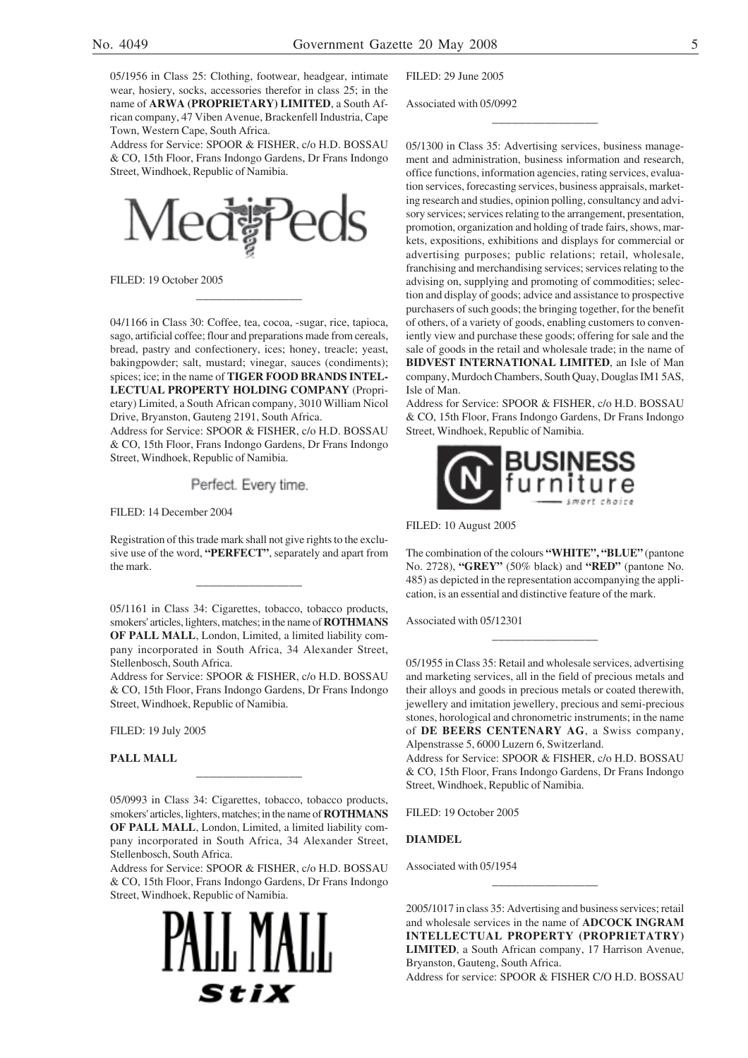05/1956 in Class 25: Clothing, footwear, headgear, intimate wear, hosiery, socks, accessories therefor in class 25; in the name of **ARWA (PROPRIETARY) LIMITED**, a South African company, 47 Viben Avenue, Brackenfell Industria, Cape Town, Western Cape, South Africa.

Address for Service: SPOOR & FISHER, c/o H.D. BOSSAU & CO, 15th Floor, Frans Indongo Gardens, Dr Frans Indongo Street, Windhoek, Republic of Namibia.



FILED: 19 October 2005

04/1166 in Class 30: Coffee, tea, cocoa, -sugar, rice, tapioca, sago, artificial coffee; flour and preparations made from cereals, bread, pastry and confectionery, ices; honey, treacle; yeast, bakingpowder; salt, mustard; vinegar, sauces (condiments); spices; ice; in the name of **TIGER FOOD BRANDS INTEL-LECTUAL PROPERTY HOLDING COMPANY** (Proprietary) Limited, a South African company, 3010 William Nicol Drive, Bryanston, Gauteng 2191, South Africa.

\_\_\_\_\_\_\_\_\_\_\_\_\_\_\_\_

Address for Service: SPOOR & FISHER, c/o H.D. BOSSAU & CO, 15th Floor, Frans Indongo Gardens, Dr Frans Indongo Street, Windhoek, Republic of Namibia.

Perfect. Every time.

FILED: 14 December 2004

Registration of this trade mark shall not give rights to the exclusive use of the word, **"PERFECT"**, separately and apart from the mark.

\_\_\_\_\_\_\_\_\_\_\_\_\_\_\_\_

05/1161 in Class 34: Cigarettes, tobacco, tobacco products, smokers' articles, lighters, matches; in the name of **ROTHMANS OF PALL MALL**, London, Limited, a limited liability company incorporated in South Africa, 34 Alexander Street, Stellenbosch, South Africa.

Address for Service: SPOOR & FISHER, c/o H.D. BOSSAU & CO, 15th Floor, Frans Indongo Gardens, Dr Frans Indongo Street, Windhoek, Republic of Namibia.

FILED: 19 July 2005

**PALL MALL**

05/0993 in Class 34: Cigarettes, tobacco, tobacco products, smokers' articles, lighters, matches; in the name of **ROTHMANS OF PALL MALL**, London, Limited, a limited liability company incorporated in South Africa, 34 Alexander Street, Stellenbosch, South Africa.

\_\_\_\_\_\_\_\_\_\_\_\_\_\_\_\_

Address for Service: SPOOR & FISHER, c/o H.D. BOSSAU & CO, 15th Floor, Frans Indongo Gardens, Dr Frans Indongo Street, Windhoek, Republic of Namibia.



FILED: 29 June 2005

Associated with 05/0992

05/1300 in Class 35: Advertising services, business management and administration, business information and research, office functions, information agencies, rating services, evaluation services, forecasting services, business appraisals, marketing research and studies, opinion polling, consultancy and advisory services; services relating to the arrangement, presentation, promotion, organization and holding of trade fairs, shows, markets, expositions, exhibitions and displays for commercial or advertising purposes; public relations; retail, wholesale, franchising and merchandising services; services relating to the advising on, supplying and promoting of commodities; selection and display of goods; advice and assistance to prospective purchasers of such goods; the bringing together, for the benefit of others, of a variety of goods, enabling customers to conveniently view and purchase these goods; offering for sale and the sale of goods in the retail and wholesale trade; in the name of **BIDVEST INTERNATIONAL LIMITED**, an Isle of Man company, Murdoch Chambers, South Quay, Douglas IM1 5AS, Isle of Man.

\_\_\_\_\_\_\_\_\_\_\_\_\_\_\_\_

Address for Service: SPOOR & FISHER, c/o H.D. BOSSAU & CO, 15th Floor, Frans Indongo Gardens, Dr Frans Indongo Street, Windhoek, Republic of Namibia.



FILED: 10 August 2005

The combination of the colours **"WHITE", "BLUE"** (pantone No. 2728), **"GREY"** (50% black) and **"RED"** (pantone No. 485) as depicted in the representation accompanying the application, is an essential and distinctive feature of the mark.

\_\_\_\_\_\_\_\_\_\_\_\_\_\_\_\_

Associated with 05/12301

05/1955 in Class 35: Retail and wholesale services, advertising and marketing services, all in the field of precious metals and their alloys and goods in precious metals or coated therewith, jewellery and imitation jewellery, precious and semi-precious stones, horological and chronometric instruments; in the name of **DE BEERS CENTENARY AG**, a Swiss company, Alpenstrasse 5, 6000 Luzern 6, Switzerland.

Address for Service: SPOOR & FISHER, c/o H.D. BOSSAU & CO, 15th Floor, Frans Indongo Gardens, Dr Frans Indongo Street, Windhoek, Republic of Namibia.

FILED: 19 October 2005

**DIAMDEL**

Associated with 05/1954

2005/1017 in class 35: Advertising and business services; retail and wholesale services in the name of **ADCOCK INGRAM INTELLECTUAL PROPERTY (PROPRIETATRY) LIMITED**, a South African company, 17 Harrison Avenue, Bryanston, Gauteng, South Africa.

\_\_\_\_\_\_\_\_\_\_\_\_\_\_\_\_

Address for service: SPOOR & FISHER C/O H.D. BOSSAU